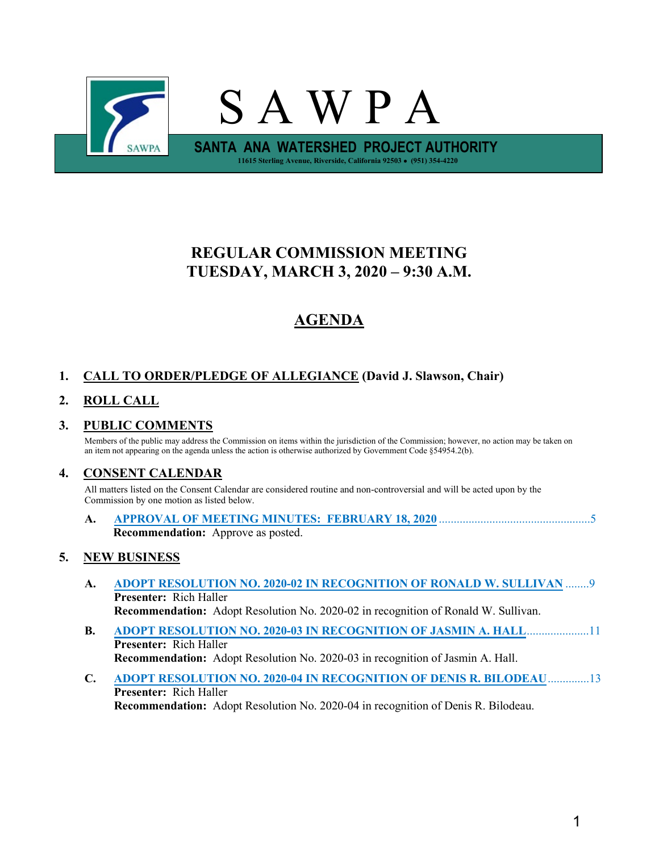

# **REGULAR COMMISSION MEETING TUESDAY, MARCH 3, 2020 – 9:30 A.M.**

# **AGENDA**

# **1. CALL TO ORDER/PLEDGE OF ALLEGIANCE (David J. Slawson, Chair)**

# **2. ROLL CALL**

# **3. PUBLIC COMMENTS**

Members of the public may address the Commission on items within the jurisdiction of the Commission; however, no action may be taken on an item not appearing on the agenda unless the action is otherwise authorized by Government Code §54954.2(b).

# **4. CONSENT CALENDAR**

All matters listed on the Consent Calendar are considered routine and non-controversial and will be acted upon by the Commission by one motion as listed below.

| <b>Recommendation:</b> Approve as posted. |  |  |
|-------------------------------------------|--|--|

# **5. NEW BUSINESS**

- **A. ADOPT RESOLUTION NO. 2020-02 [IN RECOGNITION OF RONALD W. SULLIVAN](#page-8-0)** ........9 **Presenter:** Rich Haller **Recommendation:** Adopt Resolution No. 2020-02 in recognition of Ronald W. Sullivan.
- **B. [ADOPT RESOLUTION NO. 2020-03 IN RECOGNITION OF](#page-10-0) JASMIN A. HALL**.....................11 **Presenter:** Rich Haller **Recommendation:** Adopt Resolution No. 2020-03 in recognition of Jasmin A. Hall.
- **C. [ADOPT RESOLUTION NO. 2020-04 IN RECOGNITION OF](#page-12-0) DENIS R. BILODEAU**..............13 **Presenter:** Rich Haller **Recommendation:** Adopt Resolution No. 2020-04 in recognition of Denis R. Bilodeau.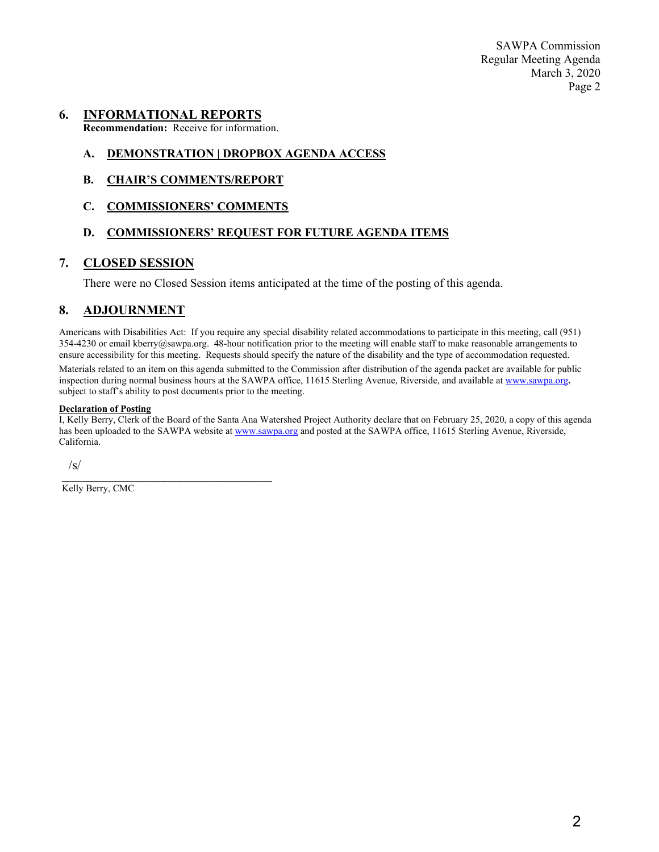SAWPA Commission Regular Meeting Agenda March 3, 2020 Page 2

#### **6. INFORMATIONAL REPORTS**

**Recommendation:** Receive for information.

#### **A. DEMONSTRATION | DROPBOX AGENDA ACCESS**

**B. CHAIR'S COMMENTS/REPORT**

#### **C. COMMISSIONERS' COMMENTS**

#### **D. COMMISSIONERS' REQUEST FOR FUTURE AGENDA ITEMS**

### **7. CLOSED SESSION**

There were no Closed Session items anticipated at the time of the posting of this agenda.

## **8. ADJOURNMENT**

Americans with Disabilities Act: If you require any special disability related accommodations to participate in this meeting, call (951)  $354-4230$  or email kberry@sawpa.org. 48-hour notification prior to the meeting will enable staff to make reasonable arrangements to ensure accessibility for this meeting. Requests should specify the nature of the disability and the type of accommodation requested. Materials related to an item on this agenda submitted to the Commission after distribution of the agenda packet are available for public inspection during normal business hours at the SAWPA office, 11615 Sterling Avenue, Riverside, and available a[t www.sawpa.org,](http://www.sawpa.org/) subject to staff's ability to post documents prior to the meeting.

#### **Declaration of Posting**

I, Kelly Berry, Clerk of the Board of the Santa Ana Watershed Project Authority declare that on February 25, 2020, a copy of this agenda has been uploaded to the SAWPA website a[t www.sawpa.org](http://www.sawpa.org/) and posted at the SAWPA office, 11615 Sterling Avenue, Riverside, California.

/s/

\_\_\_\_\_\_\_\_\_\_\_\_\_\_\_\_\_\_\_\_\_\_\_\_\_\_\_\_\_\_\_\_\_\_\_\_\_\_\_ Kelly Berry, CMC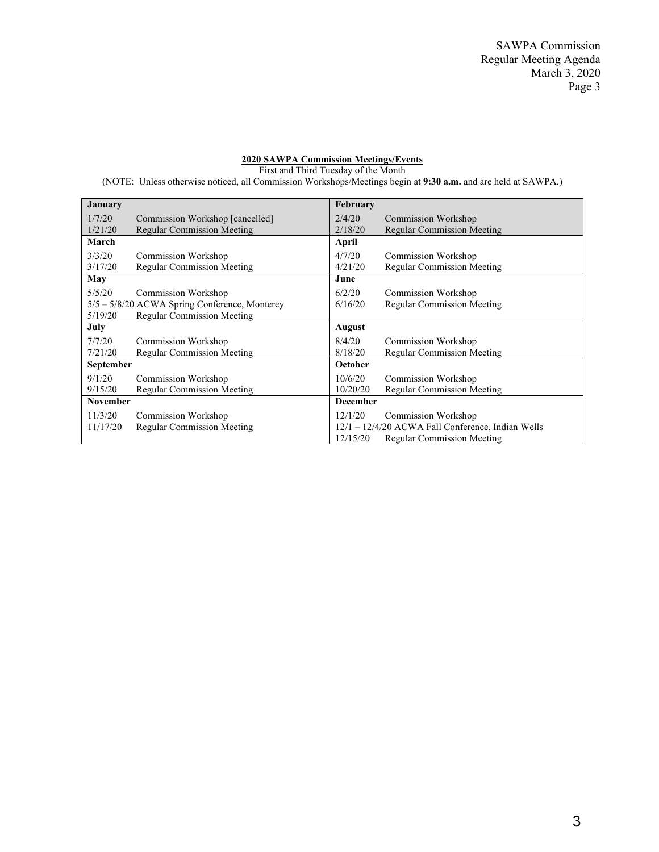#### **2020 SAWPA Commission Meetings/Events**

First and Third Tuesday of the Month

(NOTE: Unless otherwise noticed, all Commission Workshops/Meetings begin at **9:30 a.m.** and are held at SAWPA.)

| <b>January</b>  |                                                 | February        |                                                   |
|-----------------|-------------------------------------------------|-----------------|---------------------------------------------------|
| 1/7/20          | Commission Workshop [cancelled]                 | 2/4/20          | Commission Workshop                               |
| 1/21/20         | <b>Regular Commission Meeting</b>               | 2/18/20         | <b>Regular Commission Meeting</b>                 |
| March           |                                                 | April           |                                                   |
| 3/3/20          | Commission Workshop                             | 4/7/20          | Commission Workshop                               |
| 3/17/20         | Regular Commission Meeting                      | 4/21/20         | <b>Regular Commission Meeting</b>                 |
| May             |                                                 | June            |                                                   |
| 5/5/20          | <b>Commission Workshop</b>                      | 6/2/20          | <b>Commission Workshop</b>                        |
|                 | $5/5 - 5/8/20$ ACWA Spring Conference, Monterey | 6/16/20         | <b>Regular Commission Meeting</b>                 |
| 5/19/20         | <b>Regular Commission Meeting</b>               |                 |                                                   |
| July            |                                                 | August          |                                                   |
| 7/7/20          | Commission Workshop                             | 8/4/20          | <b>Commission Workshop</b>                        |
| 7/21/20         | <b>Regular Commission Meeting</b>               | 8/18/20         | <b>Regular Commission Meeting</b>                 |
| September       |                                                 | October         |                                                   |
| 9/1/20          | Commission Workshop                             | 10/6/20         | Commission Workshop                               |
| 9/15/20         | Regular Commission Meeting                      | 10/20/20        | <b>Regular Commission Meeting</b>                 |
| <b>November</b> |                                                 | <b>December</b> |                                                   |
| 11/3/20         | Commission Workshop                             | 12/1/20         | Commission Workshop                               |
| 11/17/20        | <b>Regular Commission Meeting</b>               |                 | 12/1 - 12/4/20 ACWA Fall Conference, Indian Wells |
|                 |                                                 | 12/15/20        | Regular Commission Meeting                        |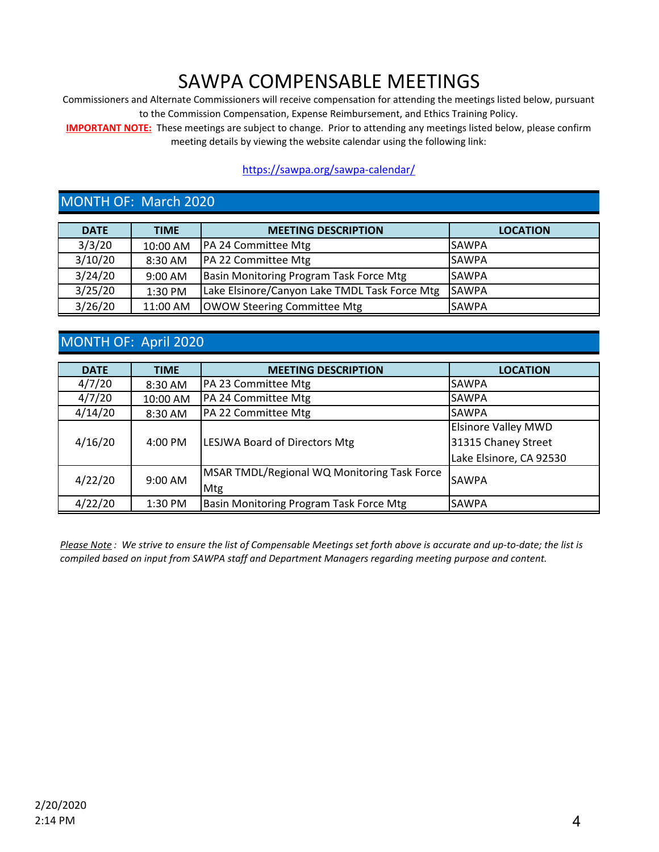# SAWPA COMPENSABLE MEETINGS

Commissioners and Alternate Commissioners will receive compensation for attending the meetings listed below, pursuant to the Commission Compensation, Expense Reimbursement, and Ethics Training Policy.

**IMPORTANT NOTE:** These meetings are subject to change. Prior to attending any meetings listed below, please confirm meeting details by viewing the website calendar using the following link:

## https://sawpa.org/sawpa-calendar/

# MONTH OF: March 2020

| <b>DATE</b> | <b>TIME</b> | <b>MEETING DESCRIPTION</b>                    | <b>LOCATION</b> |
|-------------|-------------|-----------------------------------------------|-----------------|
| 3/3/20      | 10:00 AM    | PA 24 Committee Mtg                           | <b>SAWPA</b>    |
| 3/10/20     | 8:30 AM     | <b>PA 22 Committee Mtg</b>                    | <b>SAWPA</b>    |
| 3/24/20     | 9:00 AM     | Basin Monitoring Program Task Force Mtg       | <b>SAWPA</b>    |
| 3/25/20     | 1:30 PM     | Lake Elsinore/Canyon Lake TMDL Task Force Mtg | <b>SAWPA</b>    |
| 3/26/20     | 11:00 AM    | <b>OWOW Steering Committee Mtg</b>            | <b>SAWPA</b>    |

# MONTH OF: April 2020

| <b>DATE</b> | <b>TIME</b> | <b>MEETING DESCRIPTION</b>                  | <b>LOCATION</b>            |
|-------------|-------------|---------------------------------------------|----------------------------|
| 4/7/20      | 8:30 AM     | PA 23 Committee Mtg                         | <b>SAWPA</b>               |
| 4/7/20      | 10:00 AM    | PA 24 Committee Mtg                         | <b>SAWPA</b>               |
| 4/14/20     | 8:30 AM     | PA 22 Committee Mtg                         | <b>SAWPA</b>               |
|             | 4:00 PM     | <b>LESJWA Board of Directors Mtg</b>        | <b>Elsinore Valley MWD</b> |
| 4/16/20     |             |                                             | 31315 Chaney Street        |
|             |             |                                             | Lake Elsinore, CA 92530    |
| 4/22/20     | 9:00 AM     | MSAR TMDL/Regional WQ Monitoring Task Force | <b>SAWPA</b>               |
|             |             | Mtg                                         |                            |
| 4/22/20     | 1:30 PM     | Basin Monitoring Program Task Force Mtg     | <b>SAWPA</b>               |

*Please Note : We strive to ensure the list of Compensable Meetings set forth above is accurate and up-to-date; the list is compiled based on input from SAWPA staff and Department Managers regarding meeting purpose and content.*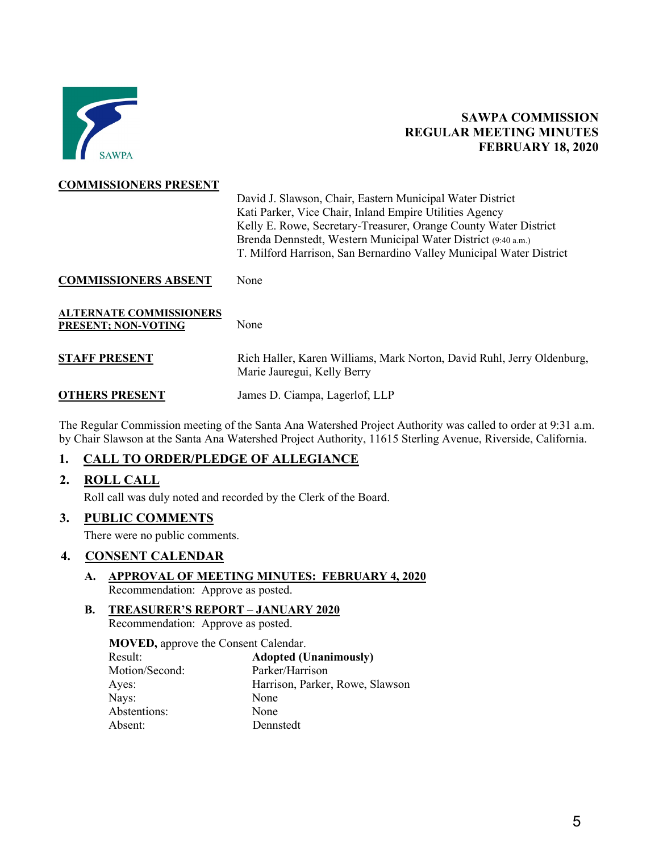<span id="page-4-0"></span>

# **SAWPA COMMISSION REGULAR MEETING MINUTES FEBRUARY 18, 2020**

#### **COMMISSIONERS PRESENT**

David J. Slawson, Chair, Eastern Municipal Water District Kati Parker, Vice Chair, Inland Empire Utilities Agency Kelly E. Rowe, Secretary-Treasurer, Orange County Water District Brenda Dennstedt, Western Municipal Water District (9:40 a.m.) T. Milford Harrison, San Bernardino Valley Municipal Water District

**COMMISSIONERS ABSENT** None

**ALTERNATE COMMISSIONERS PRESENT; NON-VOTING** None

| <b>STAFF PRESENT</b> | Rich Haller, Karen Williams, Mark Norton, David Ruhl, Jerry Oldenburg, |
|----------------------|------------------------------------------------------------------------|
|                      | Marie Jauregui, Kelly Berry                                            |

**OTHERS PRESENT** James D. Ciampa, Lagerlof, LLP

The Regular Commission meeting of the Santa Ana Watershed Project Authority was called to order at 9:31 a.m. by Chair Slawson at the Santa Ana Watershed Project Authority, 11615 Sterling Avenue, Riverside, California.

## **1. CALL TO ORDER/PLEDGE OF ALLEGIANCE**

## **2. ROLL CALL**

Roll call was duly noted and recorded by the Clerk of the Board.

## **3. PUBLIC COMMENTS**

There were no public comments.

## **4. CONSENT CALENDAR**

#### **A. APPROVAL OF MEETING MINUTES: FEBRUARY 4, 2020** Recommendation: Approve as posted.

## **B. TREASURER'S REPORT – JANUARY 2020**

Recommendation: Approve as posted.

**MOVED,** approve the Consent Calendar.

| Result:        | <b>Adopted (Unanimously)</b>    |
|----------------|---------------------------------|
| Motion/Second: | Parker/Harrison                 |
| Ayes:          | Harrison, Parker, Rowe, Slawson |
| Nays:          | None                            |
| Abstentions:   | None                            |
| Absent:        | Dennstedt                       |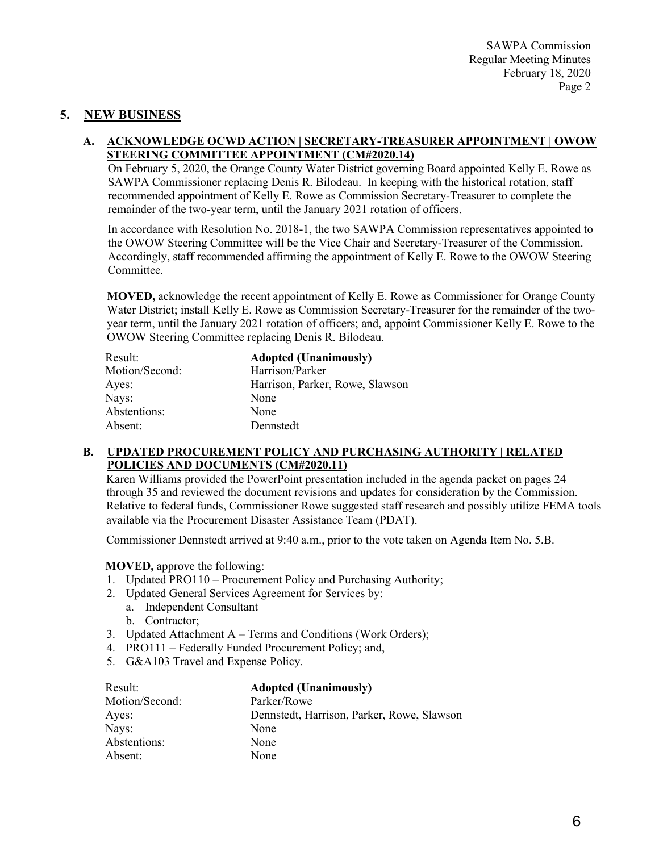# **5. NEW BUSINESS**

#### **A. ACKNOWLEDGE OCWD ACTION | SECRETARY-TREASURER APPOINTMENT | OWOW STEERING COMMITTEE APPOINTMENT (CM#2020.14)**

On February 5, 2020, the Orange County Water District governing Board appointed Kelly E. Rowe as SAWPA Commissioner replacing Denis R. Bilodeau. In keeping with the historical rotation, staff recommended appointment of Kelly E. Rowe as Commission Secretary-Treasurer to complete the remainder of the two-year term, until the January 2021 rotation of officers.

In accordance with Resolution No. 2018-1, the two SAWPA Commission representatives appointed to the OWOW Steering Committee will be the Vice Chair and Secretary-Treasurer of the Commission. Accordingly, staff recommended affirming the appointment of Kelly E. Rowe to the OWOW Steering Committee.

**MOVED,** acknowledge the recent appointment of Kelly E. Rowe as Commissioner for Orange County Water District; install Kelly E. Rowe as Commission Secretary-Treasurer for the remainder of the twoyear term, until the January 2021 rotation of officers; and, appoint Commissioner Kelly E. Rowe to the OWOW Steering Committee replacing Denis R. Bilodeau.

| Result:        | <b>Adopted (Unanimously)</b>    |
|----------------|---------------------------------|
| Motion/Second: | Harrison/Parker                 |
| Ayes:          | Harrison, Parker, Rowe, Slawson |
| Nays:          | None                            |
| Abstentions:   | None                            |
| Absent:        | Dennstedt                       |

#### **B. UPDATED PROCUREMENT POLICY AND PURCHASING AUTHORITY | RELATED POLICIES AND DOCUMENTS (CM#2020.11)**

Karen Williams provided the PowerPoint presentation included in the agenda packet on pages 24 through 35 and reviewed the document revisions and updates for consideration by the Commission. Relative to federal funds, Commissioner Rowe suggested staff research and possibly utilize FEMA tools available via the Procurement Disaster Assistance Team (PDAT).

Commissioner Dennstedt arrived at 9:40 a.m., prior to the vote taken on Agenda Item No. 5.B.

#### **MOVED,** approve the following:

- 1. Updated PRO110 Procurement Policy and Purchasing Authority;
- 2. Updated General Services Agreement for Services by:
	- a. Independent Consultant
	- b. Contractor;
- 3. Updated Attachment A Terms and Conditions (Work Orders);
- 4. PRO111 Federally Funded Procurement Policy; and,
- 5. G&A103 Travel and Expense Policy.

| Result:        | <b>Adopted (Unanimously)</b>               |
|----------------|--------------------------------------------|
| Motion/Second: | Parker/Rowe                                |
| Ayes:          | Dennstedt, Harrison, Parker, Rowe, Slawson |
| Nays:          | None                                       |
| Abstentions:   | None                                       |
| Absent:        | None                                       |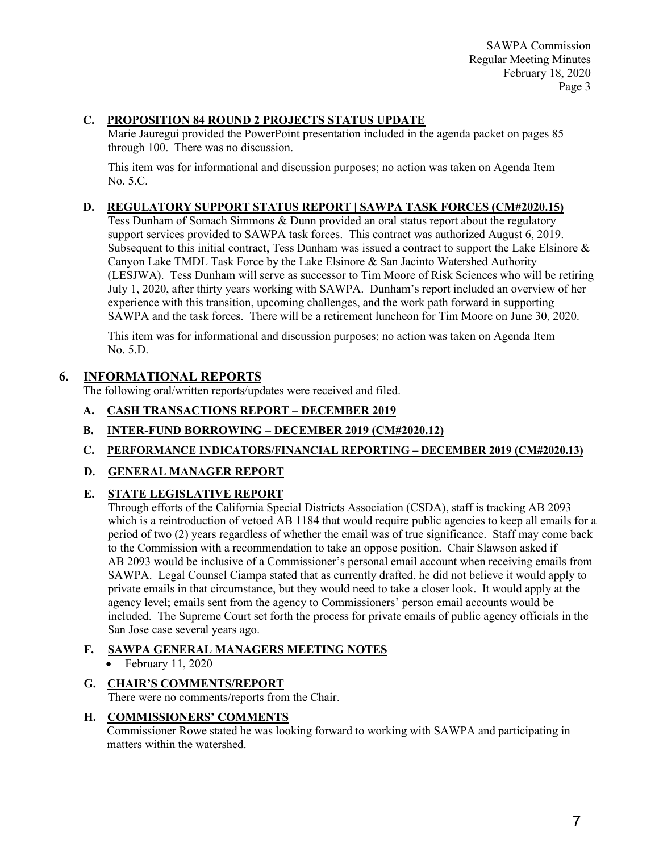SAWPA Commission Regular Meeting Minutes February 18, 2020 Page 3

# **C. PROPOSITION 84 ROUND 2 PROJECTS STATUS UPDATE**

Marie Jauregui provided the PowerPoint presentation included in the agenda packet on pages 85 through 100. There was no discussion.

This item was for informational and discussion purposes; no action was taken on Agenda Item No. 5.C.

### **D. REGULATORY SUPPORT STATUS REPORT | SAWPA TASK FORCES (CM#2020.15)**

Tess Dunham of Somach Simmons & Dunn provided an oral status report about the regulatory support services provided to SAWPA task forces. This contract was authorized August 6, 2019. Subsequent to this initial contract, Tess Dunham was issued a contract to support the Lake Elsinore & Canyon Lake TMDL Task Force by the Lake Elsinore  $\&$  San Jacinto Watershed Authority (LESJWA). Tess Dunham will serve as successor to Tim Moore of Risk Sciences who will be retiring July 1, 2020, after thirty years working with SAWPA. Dunham's report included an overview of her experience with this transition, upcoming challenges, and the work path forward in supporting SAWPA and the task forces. There will be a retirement luncheon for Tim Moore on June 30, 2020.

This item was for informational and discussion purposes; no action was taken on Agenda Item No. 5.D.

## **6. INFORMATIONAL REPORTS**

The following oral/written reports/updates were received and filed.

- **A. CASH TRANSACTIONS REPORT – DECEMBER 2019**
- **B. INTER-FUND BORROWING – DECEMBER 2019 (CM#2020.12)**
- **C. PERFORMANCE INDICATORS/FINANCIAL REPORTING – DECEMBER 2019 (CM#2020.13)**
- **D. GENERAL MANAGER REPORT**

## **E. STATE LEGISLATIVE REPORT**

Through efforts of the California Special Districts Association (CSDA), staff is tracking AB 2093 which is a reintroduction of vetoed AB 1184 that would require public agencies to keep all emails for a period of two (2) years regardless of whether the email was of true significance. Staff may come back to the Commission with a recommendation to take an oppose position. Chair Slawson asked if AB 2093 would be inclusive of a Commissioner's personal email account when receiving emails from SAWPA. Legal Counsel Ciampa stated that as currently drafted, he did not believe it would apply to private emails in that circumstance, but they would need to take a closer look. It would apply at the agency level; emails sent from the agency to Commissioners' person email accounts would be included. The Supreme Court set forth the process for private emails of public agency officials in the San Jose case several years ago.

## **F. SAWPA GENERAL MANAGERS MEETING NOTES**

- February 11, 2020
- **G. CHAIR'S COMMENTS/REPORT** There were no comments/reports from the Chair.

#### **H. COMMISSIONERS' COMMENTS**

Commissioner Rowe stated he was looking forward to working with SAWPA and participating in matters within the watershed.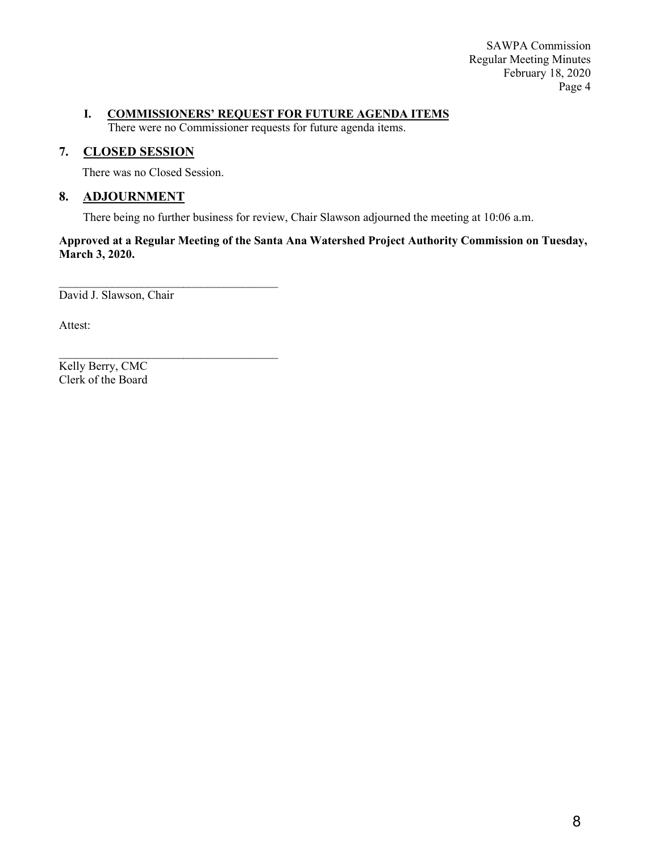SAWPA Commission Regular Meeting Minutes February 18, 2020 Page 4

#### **I. COMMISSIONERS' REQUEST FOR FUTURE AGENDA ITEMS**

There were no Commissioner requests for future agenda items.

## **7. CLOSED SESSION**

There was no Closed Session.

 $\mathcal{L}_\text{max}$  , where  $\mathcal{L}_\text{max}$  and  $\mathcal{L}_\text{max}$  and  $\mathcal{L}_\text{max}$ 

## **8. ADJOURNMENT**

There being no further business for review, Chair Slawson adjourned the meeting at 10:06 a.m.

**Approved at a Regular Meeting of the Santa Ana Watershed Project Authority Commission on Tuesday, March 3, 2020.** 

 $\mathcal{L}_\text{max}$  , where  $\mathcal{L}_\text{max}$  and  $\mathcal{L}_\text{max}$  and  $\mathcal{L}_\text{max}$ David J. Slawson, Chair

Attest:

Kelly Berry, CMC Clerk of the Board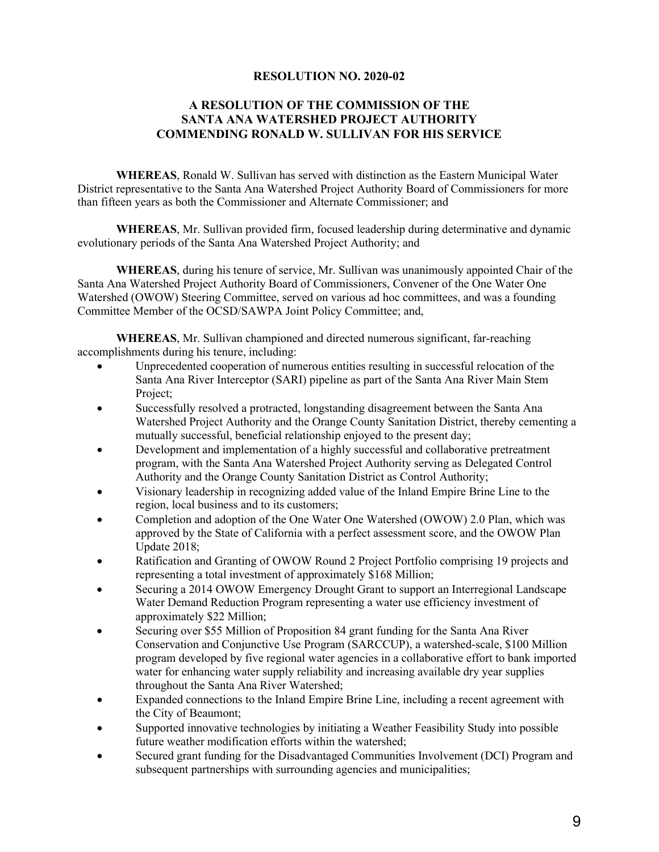### **RESOLUTION NO. 2020-02**

#### <span id="page-8-0"></span>**A RESOLUTION OF THE COMMISSION OF THE SANTA ANA WATERSHED PROJECT AUTHORITY COMMENDING RONALD W. SULLIVAN FOR HIS SERVICE**

**WHEREAS**, Ronald W. Sullivan has served with distinction as the Eastern Municipal Water District representative to the Santa Ana Watershed Project Authority Board of Commissioners for more than fifteen years as both the Commissioner and Alternate Commissioner; and

**WHEREAS**, Mr. Sullivan provided firm, focused leadership during determinative and dynamic evolutionary periods of the Santa Ana Watershed Project Authority; and

**WHEREAS**, during his tenure of service, Mr. Sullivan was unanimously appointed Chair of the Santa Ana Watershed Project Authority Board of Commissioners, Convener of the One Water One Watershed (OWOW) Steering Committee, served on various ad hoc committees, and was a founding Committee Member of the OCSD/SAWPA Joint Policy Committee; and,

**WHEREAS**, Mr. Sullivan championed and directed numerous significant, far-reaching accomplishments during his tenure, including:

- Unprecedented cooperation of numerous entities resulting in successful relocation of the Santa Ana River Interceptor (SARI) pipeline as part of the Santa Ana River Main Stem Project;
- Successfully resolved a protracted, longstanding disagreement between the Santa Ana Watershed Project Authority and the Orange County Sanitation District, thereby cementing a mutually successful, beneficial relationship enjoyed to the present day;
- Development and implementation of a highly successful and collaborative pretreatment program, with the Santa Ana Watershed Project Authority serving as Delegated Control Authority and the Orange County Sanitation District as Control Authority;
- Visionary leadership in recognizing added value of the Inland Empire Brine Line to the region, local business and to its customers;
- Completion and adoption of the One Water One Watershed (OWOW) 2.0 Plan, which was approved by the State of California with a perfect assessment score, and the OWOW Plan Update 2018;
- Ratification and Granting of OWOW Round 2 Project Portfolio comprising 19 projects and representing a total investment of approximately \$168 Million;
- Securing a 2014 OWOW Emergency Drought Grant to support an Interregional Landscape Water Demand Reduction Program representing a water use efficiency investment of approximately \$22 Million;
- Securing over \$55 Million of Proposition 84 grant funding for the Santa Ana River Conservation and Conjunctive Use Program (SARCCUP), a watershed-scale, \$100 Million program developed by five regional water agencies in a collaborative effort to bank imported water for enhancing water supply reliability and increasing available dry year supplies throughout the Santa Ana River Watershed;
- Expanded connections to the Inland Empire Brine Line, including a recent agreement with the City of Beaumont;
- Supported innovative technologies by initiating a Weather Feasibility Study into possible future weather modification efforts within the watershed;
- Secured grant funding for the Disadvantaged Communities Involvement (DCI) Program and subsequent partnerships with surrounding agencies and municipalities;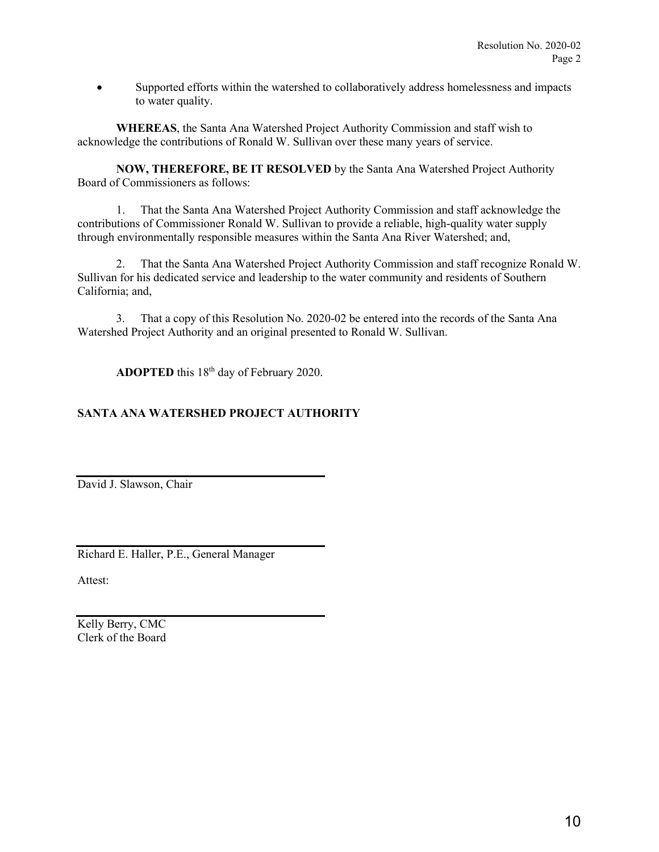• Supported efforts within the watershed to collaboratively address homelessness and impacts to water quality.

**WHEREAS**, the Santa Ana Watershed Project Authority Commission and staff wish to acknowledge the contributions of Ronald W. Sullivan over these many years of service.

**NOW, THEREFORE, BE IT RESOLVED** by the Santa Ana Watershed Project Authority Board of Commissioners as follows:

 1. That the Santa Ana Watershed Project Authority Commission and staff acknowledge the contributions of Commissioner Ronald W. Sullivan to provide a reliable, high-quality water supply through environmentally responsible measures within the Santa Ana River Watershed; and,

 2. That the Santa Ana Watershed Project Authority Commission and staff recognize Ronald W. Sullivan for his dedicated service and leadership to the water community and residents of Southern California; and,

 3. That a copy of this Resolution No. 2020-02 be entered into the records of the Santa Ana Watershed Project Authority and an original presented to Ronald W. Sullivan.

**ADOPTED** this 18<sup>th</sup> day of February 2020.

#### **SANTA ANA WATERSHED PROJECT AUTHORITY**

David J. Slawson, Chair

Richard E. Haller, P.E., General Manager

Attest:

Kelly Berry, CMC Clerk of the Board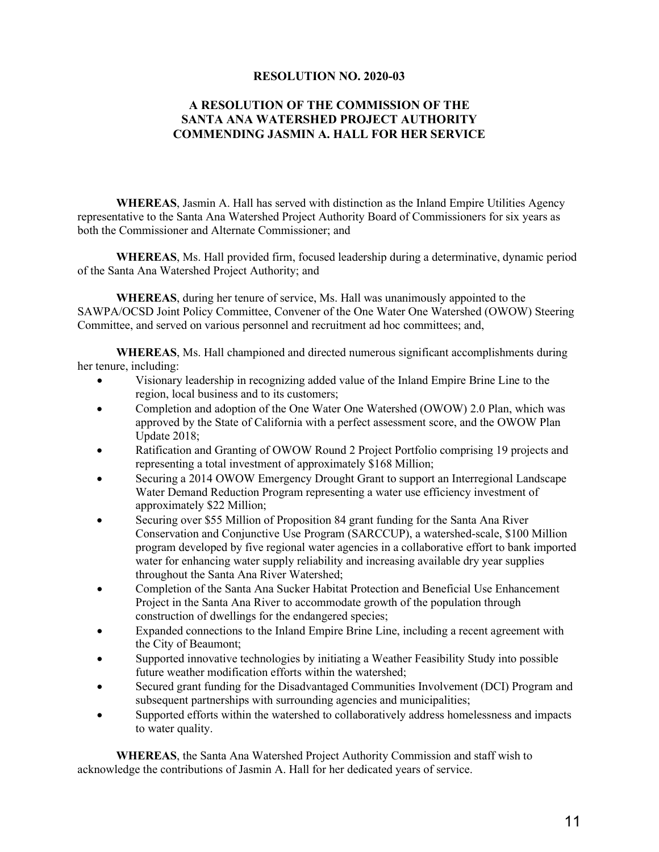#### **RESOLUTION NO. 2020-03**

#### <span id="page-10-0"></span>**A RESOLUTION OF THE COMMISSION OF THE SANTA ANA WATERSHED PROJECT AUTHORITY COMMENDING JASMIN A. HALL FOR HER SERVICE**

**WHEREAS**, Jasmin A. Hall has served with distinction as the Inland Empire Utilities Agency representative to the Santa Ana Watershed Project Authority Board of Commissioners for six years as both the Commissioner and Alternate Commissioner; and

**WHEREAS**, Ms. Hall provided firm, focused leadership during a determinative, dynamic period of the Santa Ana Watershed Project Authority; and

**WHEREAS**, during her tenure of service, Ms. Hall was unanimously appointed to the SAWPA/OCSD Joint Policy Committee, Convener of the One Water One Watershed (OWOW) Steering Committee, and served on various personnel and recruitment ad hoc committees; and,

**WHEREAS**, Ms. Hall championed and directed numerous significant accomplishments during her tenure, including:

- Visionary leadership in recognizing added value of the Inland Empire Brine Line to the region, local business and to its customers;
- Completion and adoption of the One Water One Watershed (OWOW) 2.0 Plan, which was approved by the State of California with a perfect assessment score, and the OWOW Plan Update 2018;
- Ratification and Granting of OWOW Round 2 Project Portfolio comprising 19 projects and representing a total investment of approximately \$168 Million;
- Securing a 2014 OWOW Emergency Drought Grant to support an Interregional Landscape Water Demand Reduction Program representing a water use efficiency investment of approximately \$22 Million;
- Securing over \$55 Million of Proposition 84 grant funding for the Santa Ana River Conservation and Conjunctive Use Program (SARCCUP), a watershed-scale, \$100 Million program developed by five regional water agencies in a collaborative effort to bank imported water for enhancing water supply reliability and increasing available dry year supplies throughout the Santa Ana River Watershed;
- Completion of the Santa Ana Sucker Habitat Protection and Beneficial Use Enhancement Project in the Santa Ana River to accommodate growth of the population through construction of dwellings for the endangered species;
- Expanded connections to the Inland Empire Brine Line, including a recent agreement with the City of Beaumont;
- Supported innovative technologies by initiating a Weather Feasibility Study into possible future weather modification efforts within the watershed;
- Secured grant funding for the Disadvantaged Communities Involvement (DCI) Program and subsequent partnerships with surrounding agencies and municipalities;
- Supported efforts within the watershed to collaboratively address homelessness and impacts to water quality.

**WHEREAS**, the Santa Ana Watershed Project Authority Commission and staff wish to acknowledge the contributions of Jasmin A. Hall for her dedicated years of service.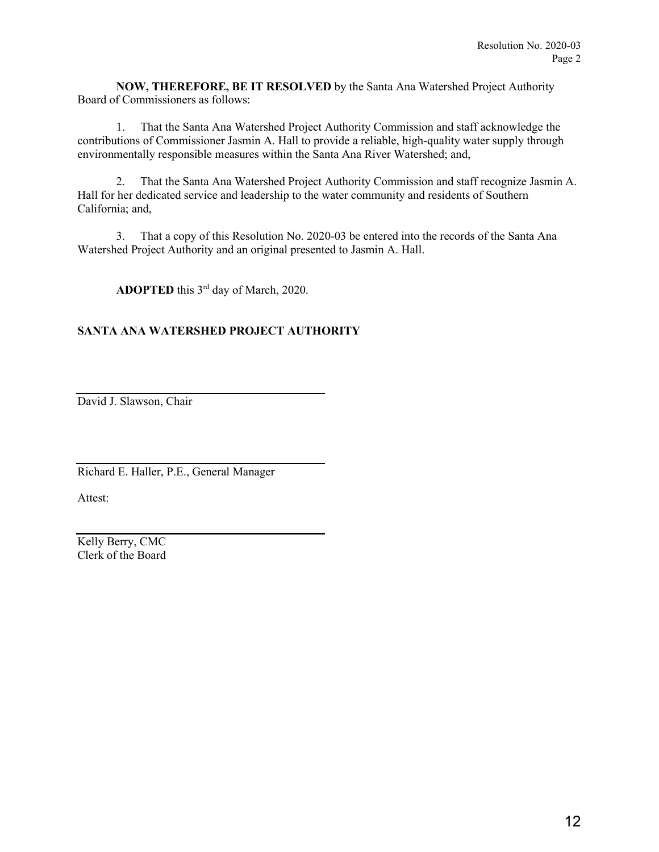**NOW, THEREFORE, BE IT RESOLVED** by the Santa Ana Watershed Project Authority Board of Commissioners as follows:

 1. That the Santa Ana Watershed Project Authority Commission and staff acknowledge the contributions of Commissioner Jasmin A. Hall to provide a reliable, high-quality water supply through environmentally responsible measures within the Santa Ana River Watershed; and,

 2. That the Santa Ana Watershed Project Authority Commission and staff recognize Jasmin A. Hall for her dedicated service and leadership to the water community and residents of Southern California; and,

 3. That a copy of this Resolution No. 2020-03 be entered into the records of the Santa Ana Watershed Project Authority and an original presented to Jasmin A. Hall.

**ADOPTED** this 3rd day of March, 2020.

## **SANTA ANA WATERSHED PROJECT AUTHORITY**

David J. Slawson, Chair

Richard E. Haller, P.E., General Manager

Attest:

Kelly Berry, CMC Clerk of the Board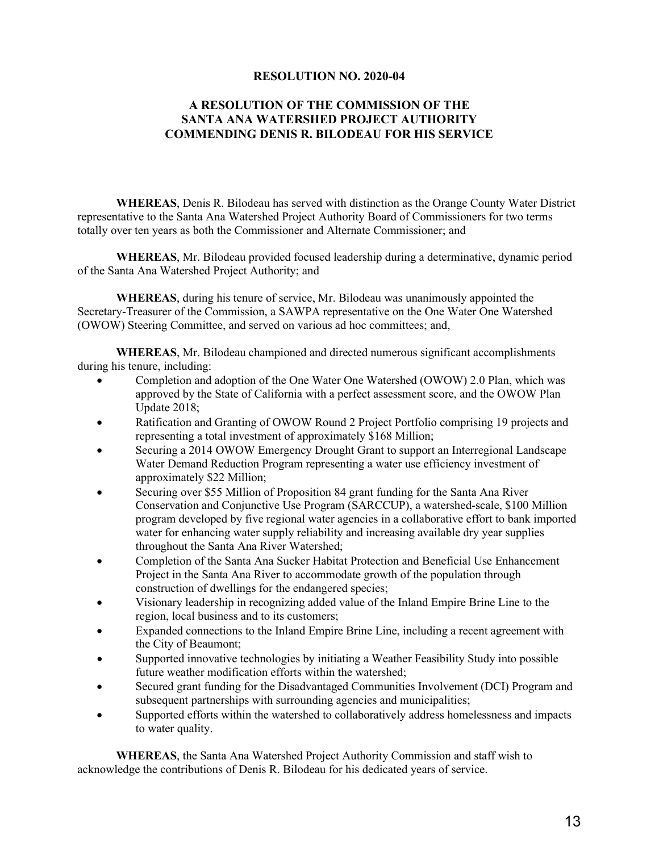#### **RESOLUTION NO. 2020-04**

#### <span id="page-12-0"></span>**A RESOLUTION OF THE COMMISSION OF THE SANTA ANA WATERSHED PROJECT AUTHORITY COMMENDING DENIS R. BILODEAU FOR HIS SERVICE**

**WHEREAS**, Denis R. Bilodeau has served with distinction as the Orange County Water District representative to the Santa Ana Watershed Project Authority Board of Commissioners for two terms totally over ten years as both the Commissioner and Alternate Commissioner; and

**WHEREAS**, Mr. Bilodeau provided focused leadership during a determinative, dynamic period of the Santa Ana Watershed Project Authority; and

**WHEREAS**, during his tenure of service, Mr. Bilodeau was unanimously appointed the Secretary-Treasurer of the Commission, a SAWPA representative on the One Water One Watershed (OWOW) Steering Committee, and served on various ad hoc committees; and,

**WHEREAS**, Mr. Bilodeau championed and directed numerous significant accomplishments during his tenure, including:

- Completion and adoption of the One Water One Watershed (OWOW) 2.0 Plan, which was approved by the State of California with a perfect assessment score, and the OWOW Plan Update 2018;
- Ratification and Granting of OWOW Round 2 Project Portfolio comprising 19 projects and representing a total investment of approximately \$168 Million;
- Securing a 2014 OWOW Emergency Drought Grant to support an Interregional Landscape Water Demand Reduction Program representing a water use efficiency investment of approximately \$22 Million;
- Securing over \$55 Million of Proposition 84 grant funding for the Santa Ana River Conservation and Conjunctive Use Program (SARCCUP), a watershed-scale, \$100 Million program developed by five regional water agencies in a collaborative effort to bank imported water for enhancing water supply reliability and increasing available dry year supplies throughout the Santa Ana River Watershed;
- Completion of the Santa Ana Sucker Habitat Protection and Beneficial Use Enhancement Project in the Santa Ana River to accommodate growth of the population through construction of dwellings for the endangered species;
- Visionary leadership in recognizing added value of the Inland Empire Brine Line to the region, local business and to its customers;
- Expanded connections to the Inland Empire Brine Line, including a recent agreement with the City of Beaumont;
- Supported innovative technologies by initiating a Weather Feasibility Study into possible future weather modification efforts within the watershed;
- Secured grant funding for the Disadvantaged Communities Involvement (DCI) Program and subsequent partnerships with surrounding agencies and municipalities;
- Supported efforts within the watershed to collaboratively address homelessness and impacts to water quality.

**WHEREAS**, the Santa Ana Watershed Project Authority Commission and staff wish to acknowledge the contributions of Denis R. Bilodeau for his dedicated years of service.